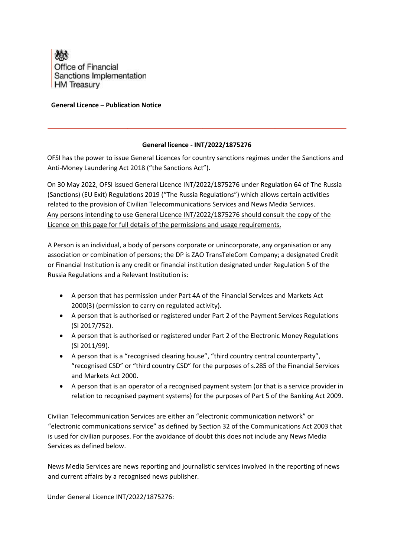

## **General Licence – Publication Notice**

## **General licence - INT/2022/1875276**

OFSI has the power to issue General Licences for country sanctions regimes under the Sanctions and Anti-Money Laundering Act 2018 ("the Sanctions Act").

On 30 May 2022, OFSI issued General Licence INT/2022/1875276 under Regulation 64 of The Russia (Sanctions) (EU Exit) Regulations 2019 ("The Russia Regulations") which allows certain activities related to the provision of Civilian Telecommunications Services and News Media Services. Any persons intending to use General Licence INT/2022/1875276 should consult the copy of the Licence on this page for full details of the permissions and usage requirements.

A Person is an individual, a body of persons corporate or unincorporate, any organisation or any association or combination of persons; the DP is ZAO TransTeleCom Company; a designated Credit or Financial Institution is any credit or financial institution designated under Regulation 5 of the Russia Regulations and a Relevant Institution is:

- A person that has permission under Part 4A of the Financial Services and Markets Act 2000[\(3\)](https://www.legislation.gov.uk/uksi/2019/855/regulation/58/made#f00014) (permission to carry on regulated activity).
- A person that is authorised or registered under Part 2 of the Payment Services Regulations (SI 2017/752).
- A person that is authorised or registered under Part 2 of the Electronic Money Regulations (SI 2011/99).
- A person that is a "recognised clearing house", "third country central counterparty", "recognised CSD" or "third country CSD" for the purposes of s.285 of the Financial Services and Markets Act 2000.
- A person that is an operator of a recognised payment system (or that is a service provider in relation to recognised payment systems) for the purposes of Part 5 of the Banking Act 2009.

Civilian Telecommunication Services are either an "electronic communication network" or "electronic communications service" as defined by Section 32 of the Communications Act 2003 that is used for civilian purposes. For the avoidance of doubt this does not include any News Media Services as defined below.

News Media Services are news reporting and journalistic services involved in the reporting of news and current affairs by a recognised news publisher.

Under General Licence INT/2022/1875276: